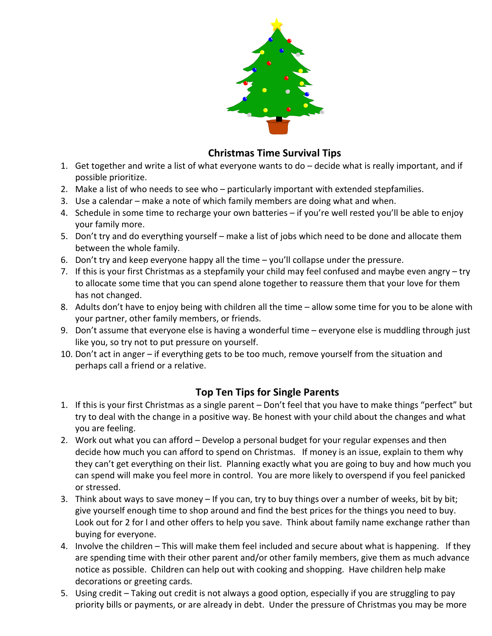

## **Christmas Time Survival Tips**

- 1. Get together and write a list of what everyone wants to do decide what is really important, and if possible prioritize.
- 2. Make a list of who needs to see who particularly important with extended stepfamilies.
- 3. Use a calendar make a note of which family members are doing what and when.
- 4. Schedule in some time to recharge your own batteries if you're well rested you'll be able to enjoy your family more.
- 5. Don't try and do everything yourself make a list of jobs which need to be done and allocate them between the whole family.
- 6. Don't try and keep everyone happy all the time you'll collapse under the pressure.
- 7. If this is your first Christmas as a stepfamily your child may feel confused and maybe even angry try to allocate some time that you can spend alone together to reassure them that your love for them has not changed.
- 8. Adults don't have to enjoy being with children all the time allow some time for you to be alone with your partner, other family members, or friends.
- 9. Don't assume that everyone else is having a wonderful time everyone else is muddling through just like you, so try not to put pressure on yourself.
- 10. Don't act in anger if everything gets to be too much, remove yourself from the situation and perhaps call a friend or a relative.

## **Top Ten Tips for Single Parents**

- 1. If this is your first Christmas as a single parent Don't feel that you have to make things "perfect" but try to deal with the change in a positive way. Be honest with your child about the changes and what you are feeling.
- 2. Work out what you can afford Develop a personal budget for your regular expenses and then decide how much you can afford to spend on Christmas. If money is an issue, explain to them why they can't get everything on their list. Planning exactly what you are going to buy and how much you can spend will make you feel more in control. You are more likely to overspend if you feel panicked or stressed.
- 3. Think about ways to save money If you can, try to buy things over a number of weeks, bit by bit; give yourself enough time to shop around and find the best prices for the things you need to buy. Look out for 2 for l and other offers to help you save. Think about family name exchange rather than buying for everyone.
- 4. Involve the children This will make them feel included and secure about what is happening. If they are spending time with their other parent and/or other family members, give them as much advance notice as possible. Children can help out with cooking and shopping. Have children help make decorations or greeting cards.
- 5. Using credit Taking out credit is not always a good option, especially if you are struggling to pay priority bills or payments, or are already in debt. Under the pressure of Christmas you may be more